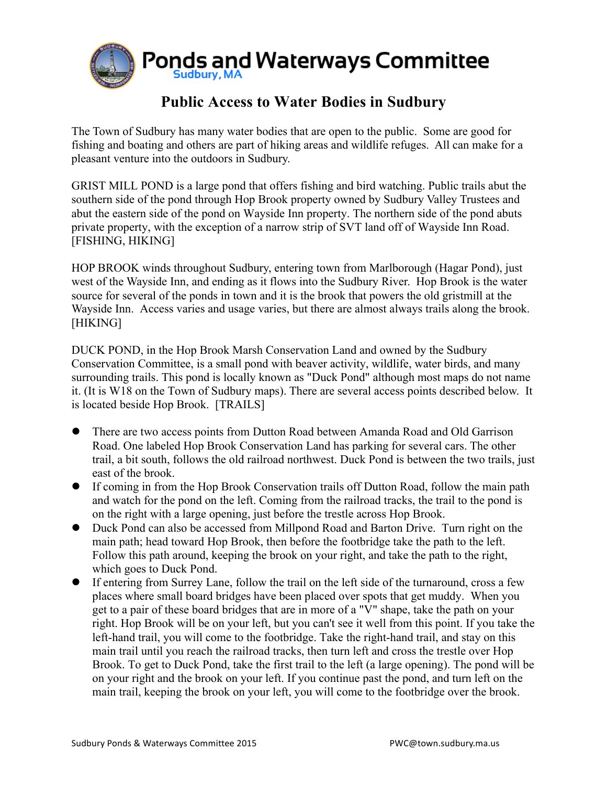

## **Public Access to Water Bodies in Sudbury**

The Town of Sudbury has many water bodies that are open to the public. Some are good for fishing and boating and others are part of hiking areas and wildlife refuges. All can make for a pleasant venture into the outdoors in Sudbury.

GRIST MILL POND is a large pond that offers fishing and bird watching. Public trails abut the southern side of the pond through Hop Brook property owned by Sudbury Valley Trustees and abut the eastern side of the pond on Wayside Inn property. The northern side of the pond abuts private property, with the exception of a narrow strip of SVT land off of Wayside Inn Road. [FISHING, HIKING]

HOP BROOK winds throughout Sudbury, entering town from Marlborough (Hagar Pond), just west of the Wayside Inn, and ending as it flows into the Sudbury River. Hop Brook is the water source for several of the ponds in town and it is the brook that powers the old gristmill at the Wayside Inn. Access varies and usage varies, but there are almost always trails along the brook. [HIKING]

DUCK POND, in the Hop Brook Marsh Conservation Land and owned by the Sudbury Conservation Committee, is a small pond with beaver activity, wildlife, water birds, and many surrounding trails. This pond is locally known as "Duck Pond" although most maps do not name it. (It is W18 on the Town of Sudbury maps). There are several access points described below. It is located beside Hop Brook. [TRAILS]

- There are two access points from Dutton Road between Amanda Road and Old Garrison Road. One labeled Hop Brook Conservation Land has parking for several cars. The other trail, a bit south, follows the old railroad northwest. Duck Pond is between the two trails, just east of the brook.
- If coming in from the Hop Brook Conservation trails off Dutton Road, follow the main path and watch for the pond on the left. Coming from the railroad tracks, the trail to the pond is on the right with a large opening, just before the trestle across Hop Brook.
- Duck Pond can also be accessed from Millpond Road and Barton Drive. Turn right on the main path; head toward Hop Brook, then before the footbridge take the path to the left. Follow this path around, keeping the brook on your right, and take the path to the right, which goes to Duck Pond.
- If entering from Surrey Lane, follow the trail on the left side of the turnaround, cross a few places where small board bridges have been placed over spots that get muddy. When you get to a pair of these board bridges that are in more of a "V" shape, take the path on your right. Hop Brook will be on your left, but you can't see it well from this point. If you take the left-hand trail, you will come to the footbridge. Take the right-hand trail, and stay on this main trail until you reach the railroad tracks, then turn left and cross the trestle over Hop Brook. To get to Duck Pond, take the first trail to the left (a large opening). The pond will be on your right and the brook on your left. If you continue past the pond, and turn left on the main trail, keeping the brook on your left, you will come to the footbridge over the brook.